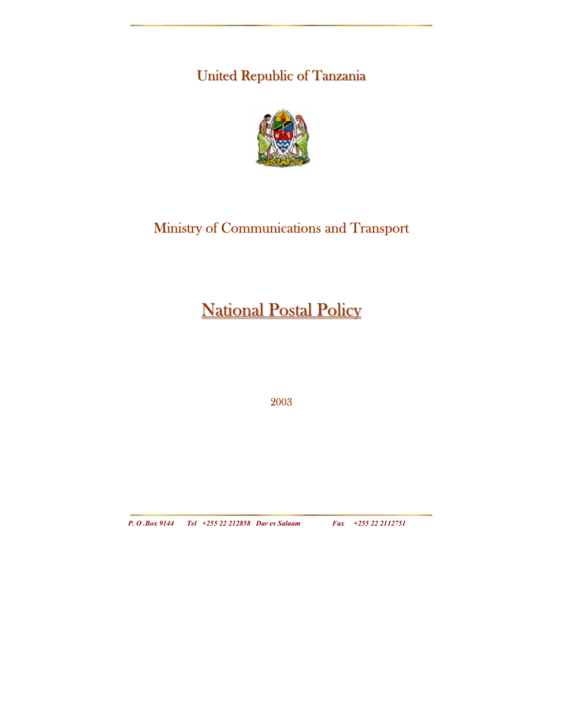United Republic of Tanzania



## Ministry of Communications and Transport

# **National Postal Policy**

2003

*P. O .Box 9144 Tel +255 22 212858 Dar es Salaam Fax +255 22 2112751*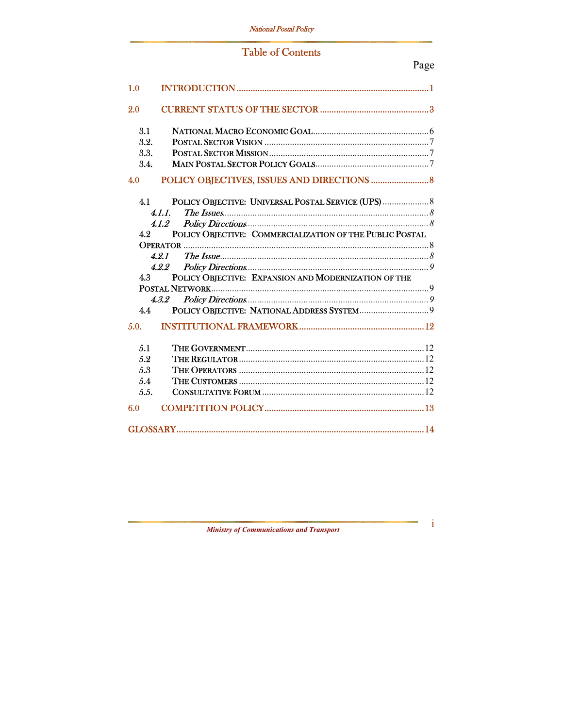## **Table of Contents**

| 1.0    |                                                          |  |  |  |
|--------|----------------------------------------------------------|--|--|--|
| 2.0    |                                                          |  |  |  |
| 3.1    |                                                          |  |  |  |
| 3.2.   |                                                          |  |  |  |
| 3.3.   |                                                          |  |  |  |
| 3.4.   |                                                          |  |  |  |
| 4.0    |                                                          |  |  |  |
| 4.1    |                                                          |  |  |  |
| 4.1.1. |                                                          |  |  |  |
|        | 4.1.2                                                    |  |  |  |
| 4.2    | POLICY OBJECTIVE: COMMERCIALIZATION OF THE PUBLIC POSTAL |  |  |  |
|        |                                                          |  |  |  |
|        | 4.21                                                     |  |  |  |
|        | 4.2.2                                                    |  |  |  |
| 4.3    | POLICY OBJECTIVE: EXPANSION AND MODERNIZATION OF THE     |  |  |  |
|        |                                                          |  |  |  |
|        | 4.3.2                                                    |  |  |  |
| 4.4    |                                                          |  |  |  |
| 5.0.   |                                                          |  |  |  |
| 5.1    |                                                          |  |  |  |
| 5.2    |                                                          |  |  |  |
| 5.3    |                                                          |  |  |  |
| 5.4    |                                                          |  |  |  |
| 5.5.   |                                                          |  |  |  |
| 6.0    |                                                          |  |  |  |
|        |                                                          |  |  |  |

**Ministry of Communications and Transport** 

 $\,$ i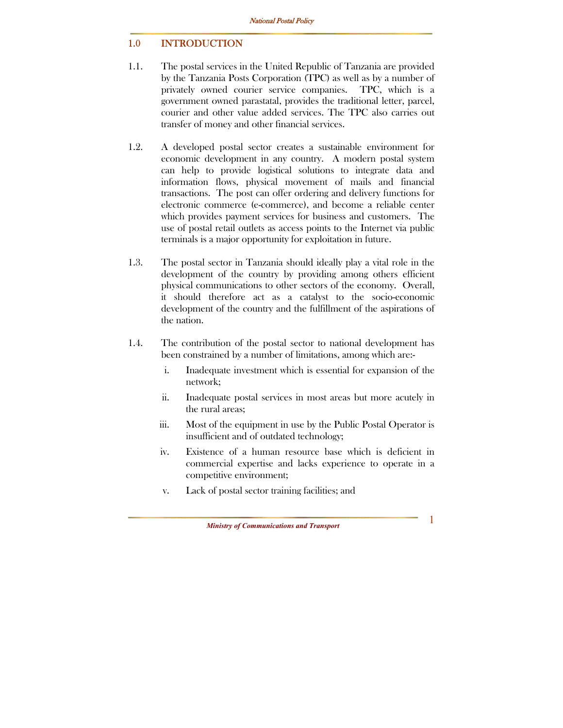#### 1.0 INTRODUCTION

- 1.1. The postal services in the United Republic of Tanzania are provided by the Tanzania Posts Corporation (TPC) as well as by a number of privately owned courier service companies. TPC, which is a government owned parastatal, provides the traditional letter, parcel, courier and other value added services. The TPC also carries out transfer of money and other financial services.
- 1.2. A developed postal sector creates a sustainable environment for economic development in any country. A modern postal system can help to provide logistical solutions to integrate data and information flows, physical movement of mails and financial transactions. The post can offer ordering and delivery functions for electronic commerce (e-commerce), and become a reliable center which provides payment services for business and customers. The use of postal retail outlets as access points to the Internet via public terminals is a major opportunity for exploitation in future.
- 1.3. The postal sector in Tanzania should ideally play a vital role in the development of the country by providing among others efficient physical communications to other sectors of the economy. Overall, it should therefore act as a catalyst to the socio-economic development of the country and the fulfillment of the aspirations of the nation.
- 1.4. The contribution of the postal sector to national development has been constrained by a number of limitations, among which are:
	- i. Inadequate investment which is essential for expansion of the network;
	- ii. Inadequate postal services in most areas but more acutely in the rural areas;
	- iii. Most of the equipment in use by the Public Postal Operator is insufficient and of outdated technology;
	- iv. Existence of a human resource base which is deficient in commercial expertise and lacks experience to operate in a competitive environment;
	- v. Lack of postal sector training facilities; and

*Ministry of Communications and Transport*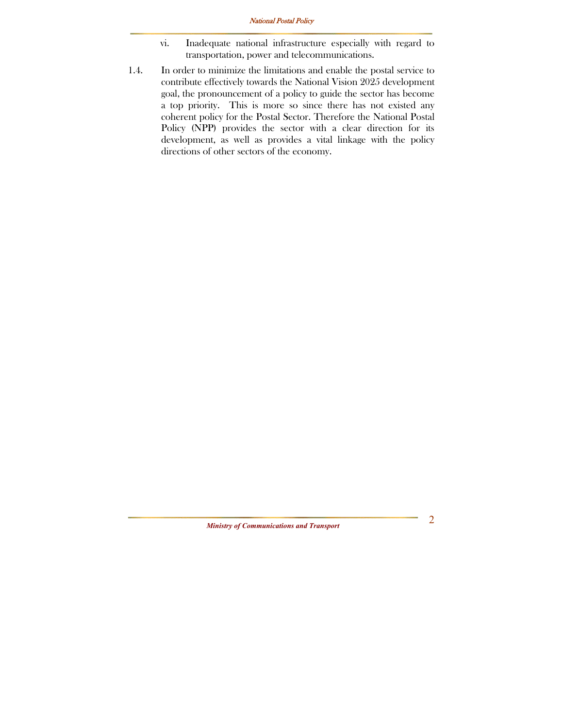- vi. Inadequate national infrastructure especially with regard to transportation, power and telecommunications.
- 1.4. In order to minimize the limitations and enable the postal service to contribute effectively towards the National Vision 2025 development goal, the pronouncement of a policy to guide the sector has become a top priority. This is more so since there has not existed any coherent policy for the Postal Sector. Therefore the National Postal Policy (NPP) provides the sector with a clear direction for its development, as well as provides a vital linkage with the policy directions of other sectors of the economy.

*Ministry of Communications and Transport*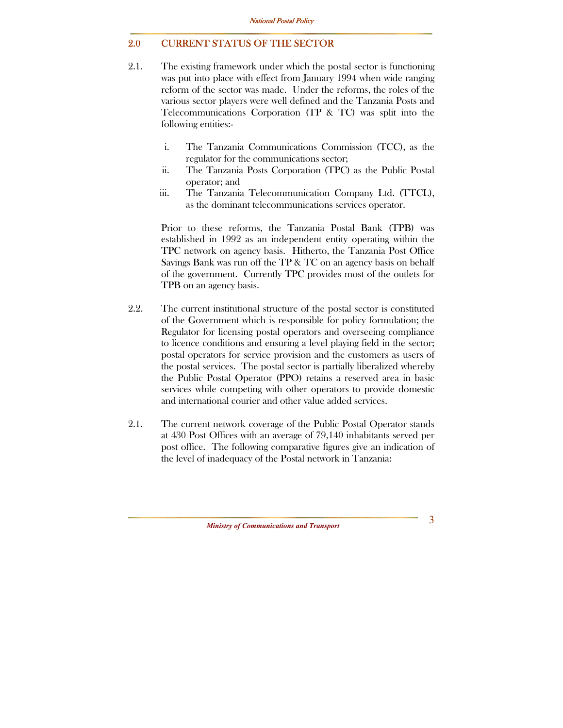#### 2.0 CURRENT STATUS OF THE SECTOR

- 2.1. The existing framework under which the postal sector is functioning was put into place with effect from January 1994 when wide ranging reform of the sector was made. Under the reforms, the roles of the various sector players were well defined and the Tanzania Posts and Telecommunications Corporation (TP & TC) was split into the following entities:
	- i. The Tanzania Communications Commission (TCC), as the regulator for the communications sector;
	- ii. The Tanzania Posts Corporation (TPC) as the Public Postal operator; and
	- iii. The Tanzania Telecommunication Company Ltd. (TTCL), as the dominant telecommunications services operator.

Prior to these reforms, the Tanzania Postal Bank (TPB) was established in 1992 as an independent entity operating within the TPC network on agency basis. Hitherto, the Tanzania Post Office Savings Bank was run off the TP & TC on an agency basis on behalf of the government. Currently TPC provides most of the outlets for TPB on an agency basis.

- 2.2. The current institutional structure of the postal sector is constituted of the Government which is responsible for policy formulation; the Regulator for licensing postal operators and overseeing compliance to licence conditions and ensuring a level playing field in the sector; postal operators for service provision and the customers as users of the postal services. The postal sector is partially liberalized whereby the Public Postal Operator (PPO) retains a reserved area in basic services while competing with other operators to provide domestic and international courier and other value added services.
- 2.1. The current network coverage of the Public Postal Operator stands at 430 Post Offices with an average of 79,140 inhabitants served per post office. The following comparative figures give an indication of the level of inadequacy of the Postal network in Tanzania:

*Ministry of Communications and Transport*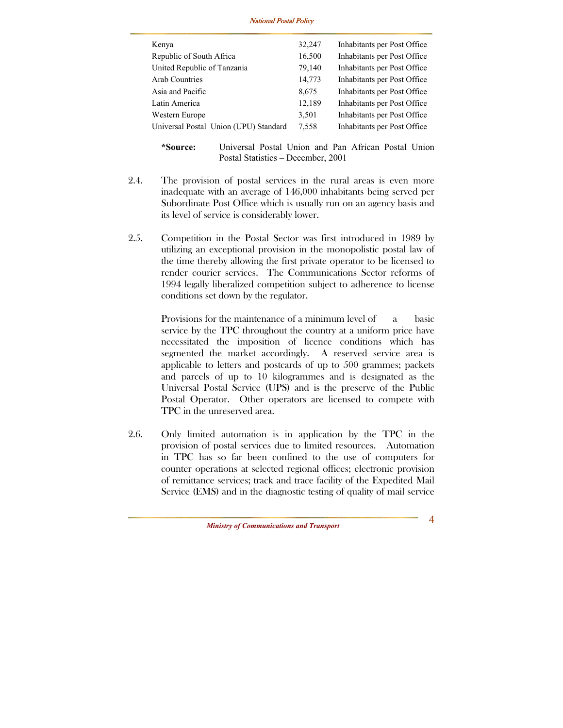| Kenya                                 | 32,247 | Inhabitants per Post Office |
|---------------------------------------|--------|-----------------------------|
| Republic of South Africa              | 16,500 | Inhabitants per Post Office |
| United Republic of Tanzania           | 79,140 | Inhabitants per Post Office |
| Arab Countries                        | 14,773 | Inhabitants per Post Office |
| Asia and Pacific                      | 8,675  | Inhabitants per Post Office |
| Latin America                         | 12,189 | Inhabitants per Post Office |
| Western Europe                        | 3,501  | Inhabitants per Post Office |
| Universal Postal Union (UPU) Standard | 7,558  | Inhabitants per Post Office |
|                                       |        |                             |

**<sup>\*</sup>Source:** Universal Postal Union and Pan African Postal Union Postal Statistics – December, 2001

- 2.4. The provision of postal services in the rural areas is even more inadequate with an average of 146,000 inhabitants being served per Subordinate Post Office which is usually run on an agency basis and its level of service is considerably lower.
- 2.5. Competition in the Postal Sector was first introduced in 1989 by utilizing an exceptional provision in the monopolistic postal law of the time thereby allowing the first private operator to be licensed to render courier services. The Communications Sector reforms of 1994 legally liberalized competition subject to adherence to license conditions set down by the regulator.

Provisions for the maintenance of a minimum level of a basic service by the TPC throughout the country at a uniform price have necessitated the imposition of licence conditions which has segmented the market accordingly. A reserved service area is applicable to letters and postcards of up to 500 grammes; packets and parcels of up to 10 kilogrammes and is designated as the Universal Postal Service (UPS) and is the preserve of the Public Postal Operator. Other operators are licensed to compete with TPC in the unreserved area.

2.6. Only limited automation is in application by the TPC in the provision of postal services due to limited resources. Automation in TPC has so far been confined to the use of computers for counter operations at selected regional offices; electronic provision of remittance services; track and trace facility of the Expedited Mail Service (EMS) and in the diagnostic testing of quality of mail service

*Ministry of Communications and Transport*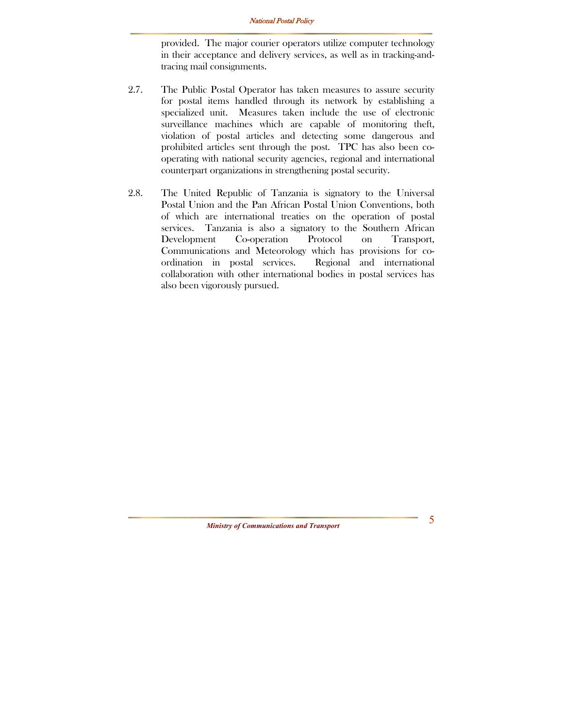provided. The major courier operators utilize computer technology in their acceptance and delivery services, as well as in tracking-andtracing mail consignments.

- 2.7. The Public Postal Operator has taken measures to assure security for postal items handled through its network by establishing a specialized unit. Measures taken include the use of electronic surveillance machines which are capable of monitoring theft, violation of postal articles and detecting some dangerous and prohibited articles sent through the post. TPC has also been cooperating with national security agencies, regional and international counterpart organizations in strengthening postal security.
- 2.8. The United Republic of Tanzania is signatory to the Universal Postal Union and the Pan African Postal Union Conventions, both of which are international treaties on the operation of postal services. Tanzania is also a signatory to the Southern African Development Co-operation Protocol on Transport, Communications and Meteorology which has provisions for coordination in postal services. Regional and international collaboration with other international bodies in postal services has also been vigorously pursued.

*Ministry of Communications and Transport*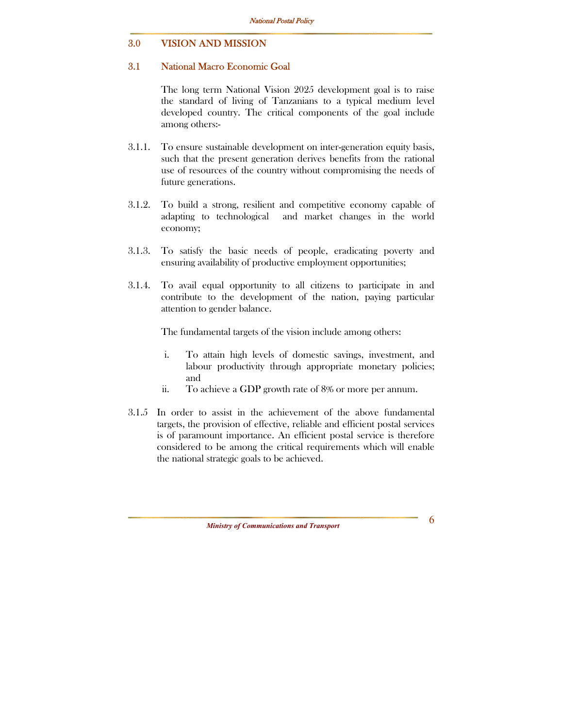#### 3.0 VISION AND MISSION

#### 3.1 National Macro Economic Goal

The long term National Vision 2025 development goal is to raise the standard of living of Tanzanians to a typical medium level developed country. The critical components of the goal include among others:-

- 3.1.1. To ensure sustainable development on inter-generation equity basis, such that the present generation derives benefits from the rational use of resources of the country without compromising the needs of future generations.
- 3.1.2. To build a strong, resilient and competitive economy capable of adapting to technological and market changes in the world economy;
- 3.1.3. To satisfy the basic needs of people, eradicating poverty and ensuring availability of productive employment opportunities;
- 3.1.4. To avail equal opportunity to all citizens to participate in and contribute to the development of the nation, paying particular attention to gender balance.

The fundamental targets of the vision include among others:

- i. To attain high levels of domestic savings, investment, and labour productivity through appropriate monetary policies; and
- ii. To achieve a GDP growth rate of 8% or more per annum.
- 3.1.5 In order to assist in the achievement of the above fundamental targets, the provision of effective, reliable and efficient postal services is of paramount importance. An efficient postal service is therefore considered to be among the critical requirements which will enable the national strategic goals to be achieved.

*Ministry of Communications and Transport*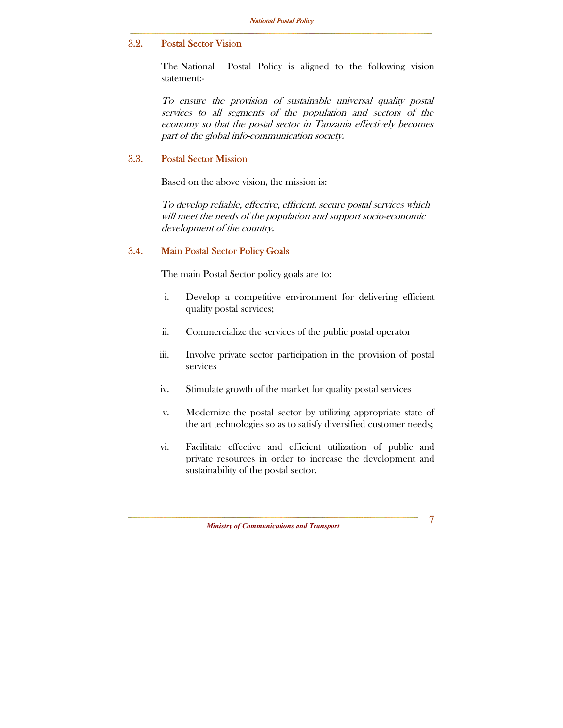#### 3.2. Postal Sector Vision

The National Postal Policy is aligned to the following vision statement:-

To ensure the provision of sustainable universal quality postal services to all segments of the population and sectors of the economy so that the postal sector in Tanzania effectively becomes part of the global info-communication society.

#### 3.3. Postal Sector Mission

Based on the above vision, the mission is:

To develop reliable, effective, efficient, secure postal services which will meet the needs of the population and support socio-economic development of the country.

#### 3.4. Main Postal Sector Policy Goals

The main Postal Sector policy goals are to:

- i. Develop a competitive environment for delivering efficient quality postal services;
- ii. Commercialize the services of the public postal operator
- iii. Involve private sector participation in the provision of postal services
- iv. Stimulate growth of the market for quality postal services
- v. Modernize the postal sector by utilizing appropriate state of the art technologies so as to satisfy diversified customer needs;
- vi. Facilitate effective and efficient utilization of public and private resources in order to increase the development and sustainability of the postal sector.

*Ministry of Communications and Transport*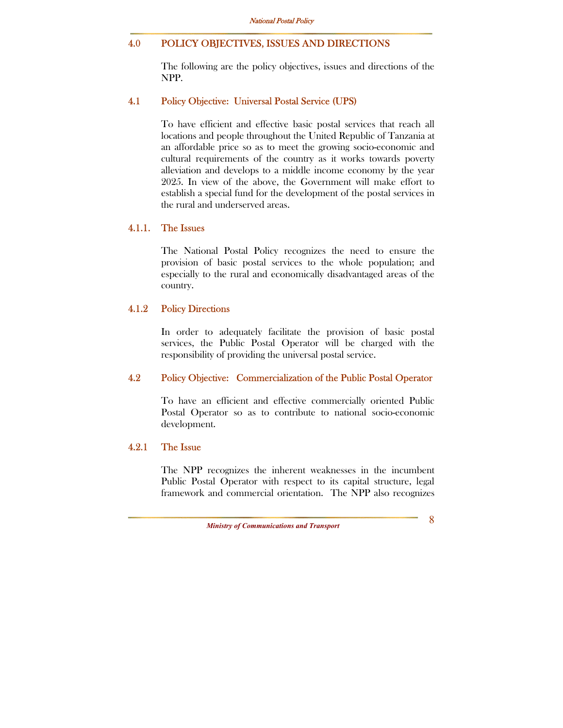#### 4.0 POLICY OBJECTIVES, ISSUES AND DIRECTIONS

The following are the policy objectives, issues and directions of the NPP.

#### 4.1 Policy Objective: Universal Postal Service (UPS)

To have efficient and effective basic postal services that reach all locations and people throughout the United Republic of Tanzania at an affordable price so as to meet the growing socio-economic and cultural requirements of the country as it works towards poverty alleviation and develops to a middle income economy by the year 2025. In view of the above, the Government will make effort to establish a special fund for the development of the postal services in the rural and underserved areas.

#### 4.1.1. The Issues

The National Postal Policy recognizes the need to ensure the provision of basic postal services to the whole population; and especially to the rural and economically disadvantaged areas of the country.

#### 4.1.2 Policy Directions

In order to adequately facilitate the provision of basic postal services, the Public Postal Operator will be charged with the responsibility of providing the universal postal service.

#### 4.2 Policy Objective: Commercialization of the Public Postal Operator

To have an efficient and effective commercially oriented Public Postal Operator so as to contribute to national socio-economic development.

#### 4.2.1 The Issue

The NPP recognizes the inherent weaknesses in the incumbent Public Postal Operator with respect to its capital structure, legal framework and commercial orientation. The NPP also recognizes

*Ministry of Communications and Transport*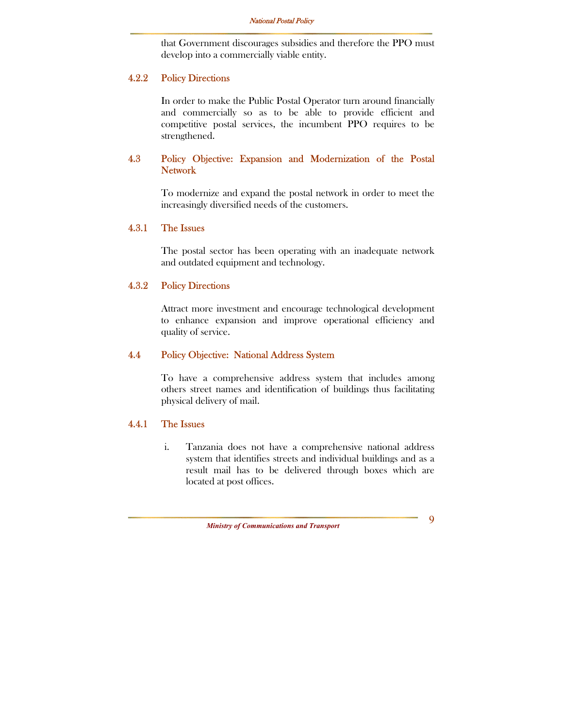that Government discourages subsidies and therefore the PPO must develop into a commercially viable entity.

#### 4.2.2 Policy Directions

In order to make the Public Postal Operator turn around financially and commercially so as to be able to provide efficient and competitive postal services, the incumbent PPO requires to be strengthened.

#### 4.3 Policy Objective: Expansion and Modernization of the Postal Network

To modernize and expand the postal network in order to meet the increasingly diversified needs of the customers.

#### 4.3.1 The Issues

The postal sector has been operating with an inadequate network and outdated equipment and technology.

#### 4.3.2 Policy Directions

Attract more investment and encourage technological development to enhance expansion and improve operational efficiency and quality of service.

#### 4.4 Policy Objective: National Address System

To have a comprehensive address system that includes among others street names and identification of buildings thus facilitating physical delivery of mail.

#### 4.4.1 The Issues

i. Tanzania does not have a comprehensive national address system that identifies streets and individual buildings and as a result mail has to be delivered through boxes which are located at post offices.

*Ministry of Communications and Transport*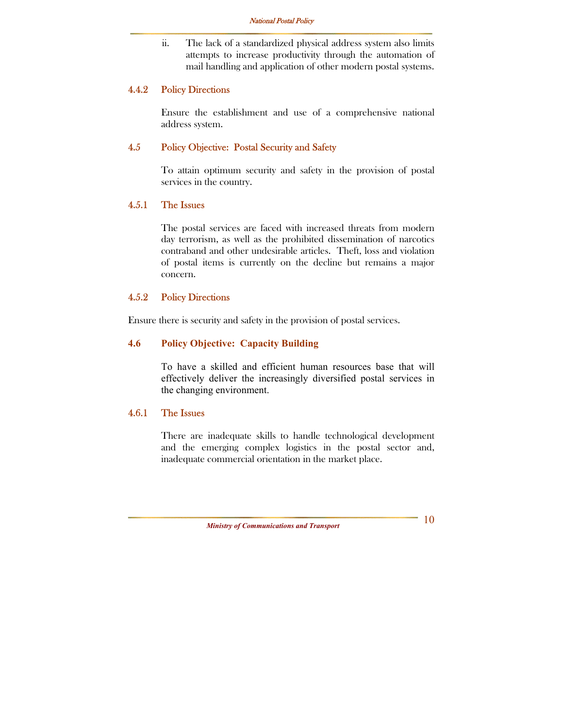ii. The lack of a standardized physical address system also limits attempts to increase productivity through the automation of mail handling and application of other modern postal systems.

#### 4.4.2 Policy Directions

Ensure the establishment and use of a comprehensive national address system.

#### 4.5 Policy Objective: Postal Security and Safety

To attain optimum security and safety in the provision of postal services in the country.

#### 4.5.1 The Issues

The postal services are faced with increased threats from modern day terrorism, as well as the prohibited dissemination of narcotics contraband and other undesirable articles. Theft, loss and violation of postal items is currently on the decline but remains a major concern.

#### 4.5.2 Policy Directions

Ensure there is security and safety in the provision of postal services.

#### **4.6 Policy Objective: Capacity Building**

To have a skilled and efficient human resources base that will effectively deliver the increasingly diversified postal services in the changing environment.

#### 4.6.1 The Issues

There are inadequate skills to handle technological development and the emerging complex logistics in the postal sector and, inadequate commercial orientation in the market place.

*Ministry of Communications and Transport*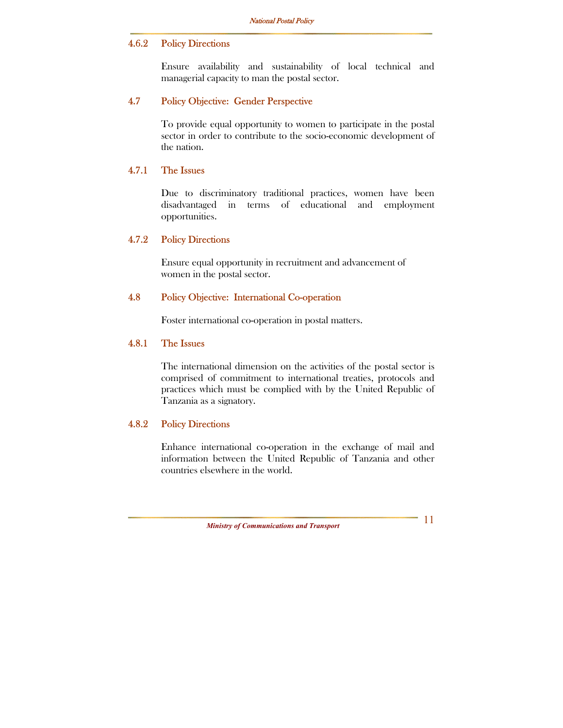#### 4.6.2 Policy Directions

Ensure availability and sustainability of local technical and managerial capacity to man the postal sector.

#### 4.7 Policy Objective: Gender Perspective

To provide equal opportunity to women to participate in the postal sector in order to contribute to the socio-economic development of the nation.

#### 4.7.1 The Issues

Due to discriminatory traditional practices, women have been disadvantaged in terms of educational and employment opportunities.

#### 4.7.2 Policy Directions

Ensure equal opportunity in recruitment and advancement of women in the postal sector.

#### 4.8 Policy Objective: International Co-operation

Foster international co-operation in postal matters.

#### 4.8.1 The Issues

The international dimension on the activities of the postal sector is comprised of commitment to international treaties, protocols and practices which must be complied with by the United Republic of Tanzania as a signatory.

#### 4.8.2 Policy Directions

Enhance international co-operation in the exchange of mail and information between the United Republic of Tanzania and other countries elsewhere in the world.

*Ministry of Communications and Transport*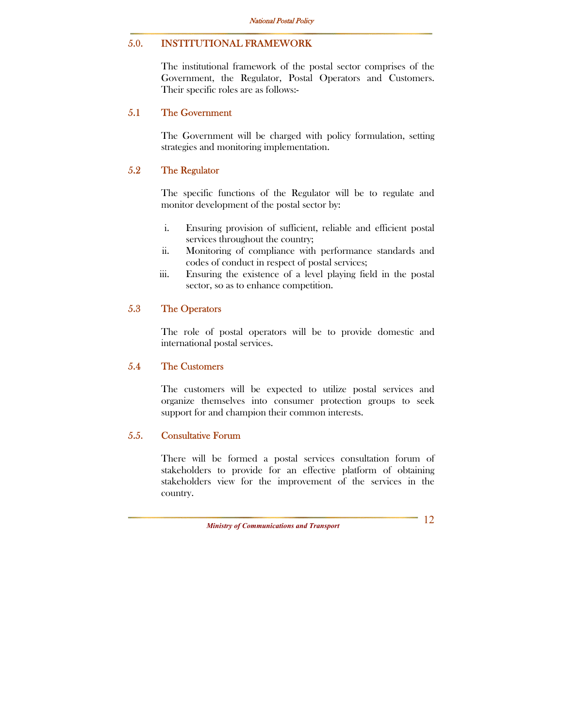#### 5.0. INSTITUTIONAL FRAMEWORK

The institutional framework of the postal sector comprises of the Government, the Regulator, Postal Operators and Customers. Their specific roles are as follows:-

#### 5.1 The Government

The Government will be charged with policy formulation, setting strategies and monitoring implementation.

#### 5.2 The Regulator

The specific functions of the Regulator will be to regulate and monitor development of the postal sector by:

- i. Ensuring provision of sufficient, reliable and efficient postal services throughout the country;
- ii. Monitoring of compliance with performance standards and codes of conduct in respect of postal services;
- iii. Ensuring the existence of a level playing field in the postal sector, so as to enhance competition.

#### 5.3 The Operators

The role of postal operators will be to provide domestic and international postal services.

#### 5.4 The Customers

The customers will be expected to utilize postal services and organize themselves into consumer protection groups to seek support for and champion their common interests.

#### 5.5. Consultative Forum

There will be formed a postal services consultation forum of stakeholders to provide for an effective platform of obtaining stakeholders view for the improvement of the services in the country.

*Ministry of Communications and Transport* 

 $-12$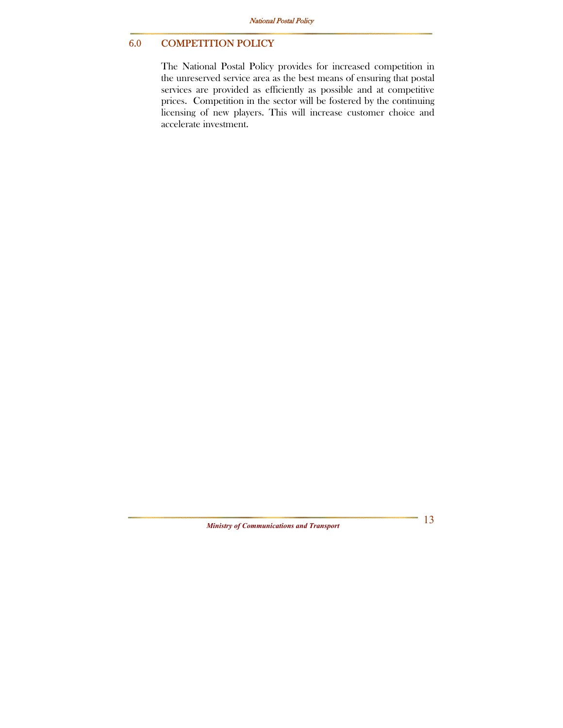### 6.0 COMPETITION POLICY

The National Postal Policy provides for increased competition in the unreserved service area as the best means of ensuring that postal services are provided as efficiently as possible and at competitive prices. Competition in the sector will be fostered by the continuing licensing of new players. This will increase customer choice and accelerate investment.

*Ministry of Communications and Transport* 

 $-13$